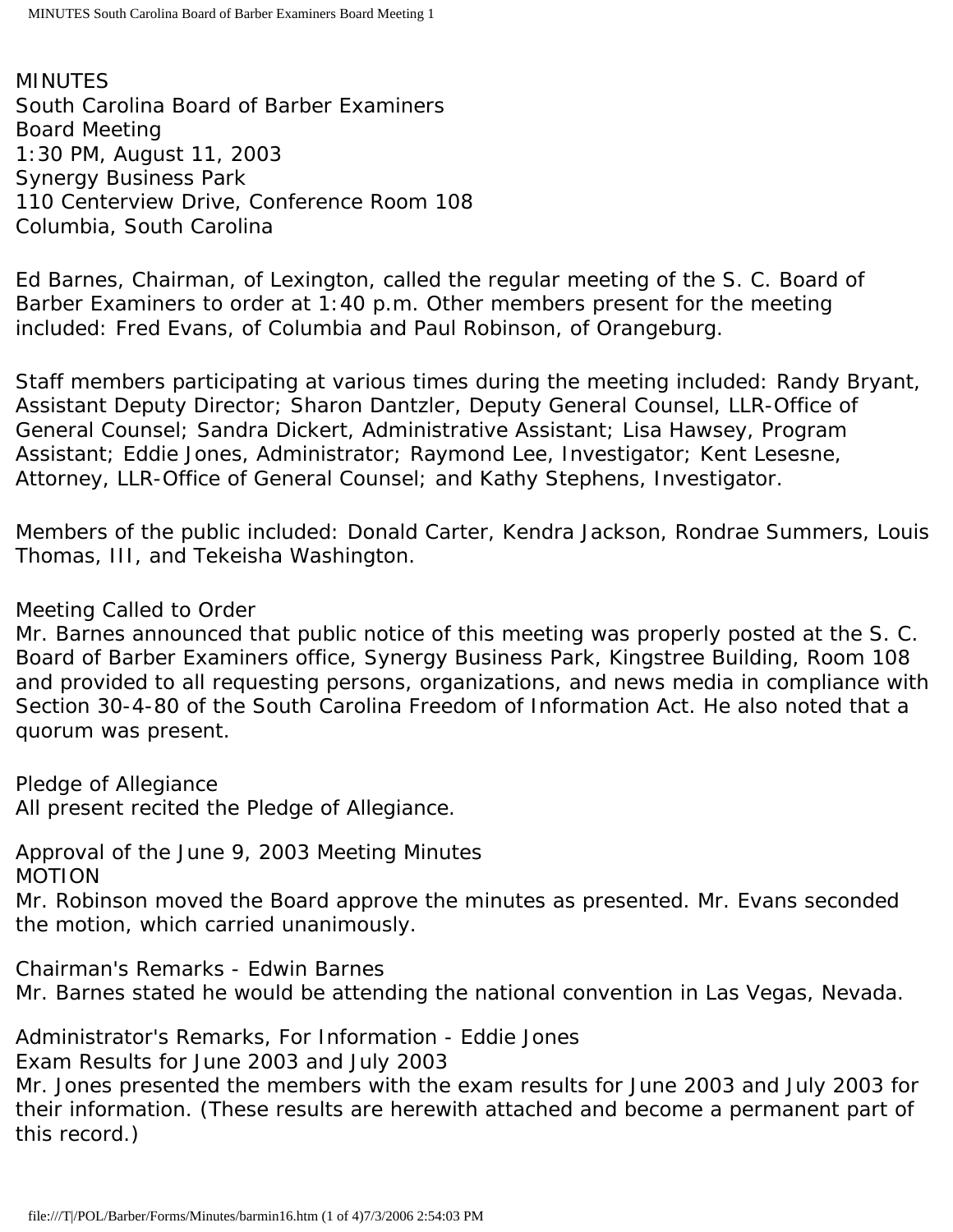MINUTES South Carolina Board of Barber Examiners Board Meeting 1:30 PM, August 11, 2003 Synergy Business Park 110 Centerview Drive, Conference Room 108 Columbia, South Carolina

Ed Barnes, Chairman, of Lexington, called the regular meeting of the S. C. Board of Barber Examiners to order at 1:40 p.m. Other members present for the meeting included: Fred Evans, of Columbia and Paul Robinson, of Orangeburg.

Staff members participating at various times during the meeting included: Randy Bryant, Assistant Deputy Director; Sharon Dantzler, Deputy General Counsel, LLR-Office of General Counsel; Sandra Dickert, Administrative Assistant; Lisa Hawsey, Program Assistant; Eddie Jones, Administrator; Raymond Lee, Investigator; Kent Lesesne, Attorney, LLR-Office of General Counsel; and Kathy Stephens, Investigator.

Members of the public included: Donald Carter, Kendra Jackson, Rondrae Summers, Louis Thomas, III, and Tekeisha Washington.

# Meeting Called to Order

Mr. Barnes announced that public notice of this meeting was properly posted at the S. C. Board of Barber Examiners office, Synergy Business Park, Kingstree Building, Room 108 and provided to all requesting persons, organizations, and news media in compliance with Section 30-4-80 of the South Carolina Freedom of Information Act. He also noted that a quorum was present.

Pledge of Allegiance

All present recited the Pledge of Allegiance.

Approval of the June 9, 2003 Meeting Minutes MOTION

Mr. Robinson moved the Board approve the minutes as presented. Mr. Evans seconded the motion, which carried unanimously.

Chairman's Remarks - Edwin Barnes Mr. Barnes stated he would be attending the national convention in Las Vegas, Nevada.

Administrator's Remarks, For Information - Eddie Jones

Exam Results for June 2003 and July 2003

Mr. Jones presented the members with the exam results for June 2003 and July 2003 for their information. (These results are herewith attached and become a permanent part of this record.)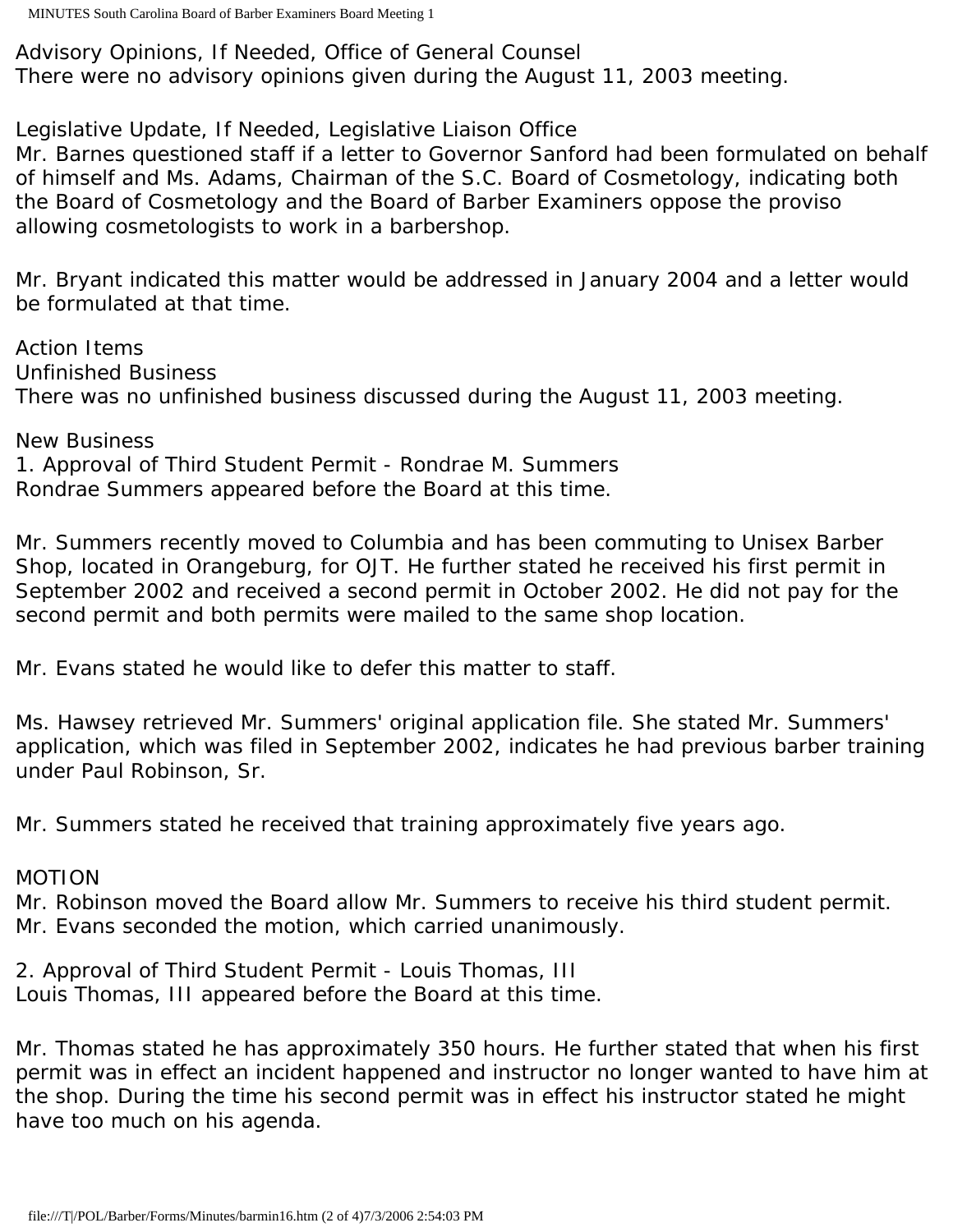Advisory Opinions, If Needed, Office of General Counsel There were no advisory opinions given during the August 11, 2003 meeting.

Legislative Update, If Needed, Legislative Liaison Office

Mr. Barnes questioned staff if a letter to Governor Sanford had been formulated on behalf of himself and Ms. Adams, Chairman of the S.C. Board of Cosmetology, indicating both the Board of Cosmetology and the Board of Barber Examiners oppose the proviso allowing cosmetologists to work in a barbershop.

Mr. Bryant indicated this matter would be addressed in January 2004 and a letter would be formulated at that time.

Action Items Unfinished Business There was no unfinished business discussed during the August 11, 2003 meeting.

New Business 1. Approval of Third Student Permit - Rondrae M. Summers Rondrae Summers appeared before the Board at this time.

Mr. Summers recently moved to Columbia and has been commuting to Unisex Barber Shop, located in Orangeburg, for OJT. He further stated he received his first permit in September 2002 and received a second permit in October 2002. He did not pay for the second permit and both permits were mailed to the same shop location.

Mr. Evans stated he would like to defer this matter to staff.

Ms. Hawsey retrieved Mr. Summers' original application file. She stated Mr. Summers' application, which was filed in September 2002, indicates he had previous barber training under Paul Robinson, Sr.

Mr. Summers stated he received that training approximately five years ago.

# MOTION

Mr. Robinson moved the Board allow Mr. Summers to receive his third student permit. Mr. Evans seconded the motion, which carried unanimously.

2. Approval of Third Student Permit - Louis Thomas, III Louis Thomas, III appeared before the Board at this time.

Mr. Thomas stated he has approximately 350 hours. He further stated that when his first permit was in effect an incident happened and instructor no longer wanted to have him at the shop. During the time his second permit was in effect his instructor stated he might have too much on his agenda.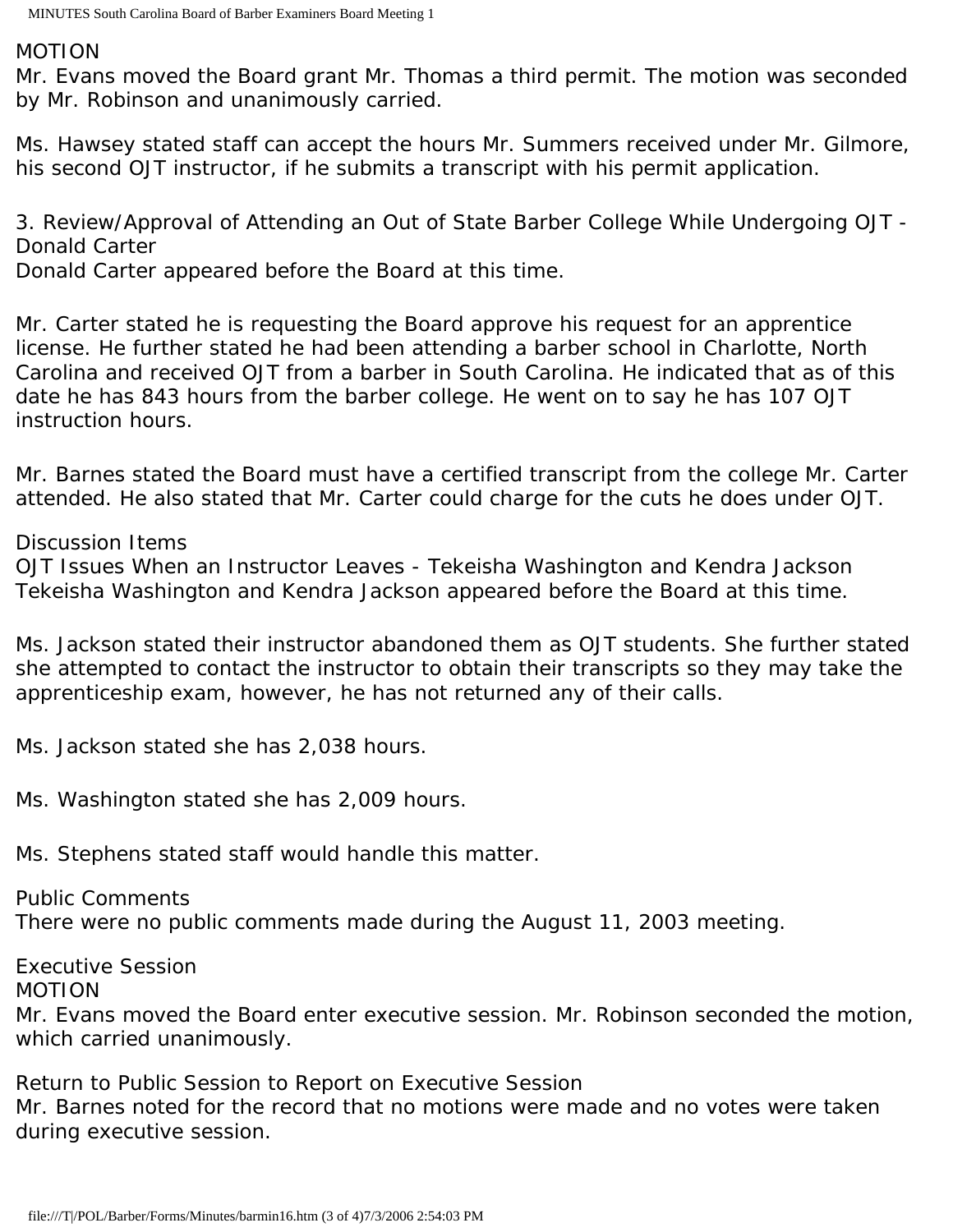#### MOTION

Mr. Evans moved the Board grant Mr. Thomas a third permit. The motion was seconded by Mr. Robinson and unanimously carried.

Ms. Hawsey stated staff can accept the hours Mr. Summers received under Mr. Gilmore, his second OJT instructor, if he submits a transcript with his permit application.

3. Review/Approval of Attending an Out of State Barber College While Undergoing OJT - Donald Carter

Donald Carter appeared before the Board at this time.

Mr. Carter stated he is requesting the Board approve his request for an apprentice license. He further stated he had been attending a barber school in Charlotte, North Carolina and received OJT from a barber in South Carolina. He indicated that as of this date he has 843 hours from the barber college. He went on to say he has 107 OJT instruction hours.

Mr. Barnes stated the Board must have a certified transcript from the college Mr. Carter attended. He also stated that Mr. Carter could charge for the cuts he does under OJT.

Discussion Items

OJT Issues When an Instructor Leaves - Tekeisha Washington and Kendra Jackson Tekeisha Washington and Kendra Jackson appeared before the Board at this time.

Ms. Jackson stated their instructor abandoned them as OJT students. She further stated she attempted to contact the instructor to obtain their transcripts so they may take the apprenticeship exam, however, he has not returned any of their calls.

Ms. Jackson stated she has 2,038 hours.

Ms. Washington stated she has 2,009 hours.

Ms. Stephens stated staff would handle this matter.

Public Comments There were no public comments made during the August 11, 2003 meeting.

Executive Session MOTION

Mr. Evans moved the Board enter executive session. Mr. Robinson seconded the motion, which carried unanimously.

Return to Public Session to Report on Executive Session Mr. Barnes noted for the record that no motions were made and no votes were taken during executive session.